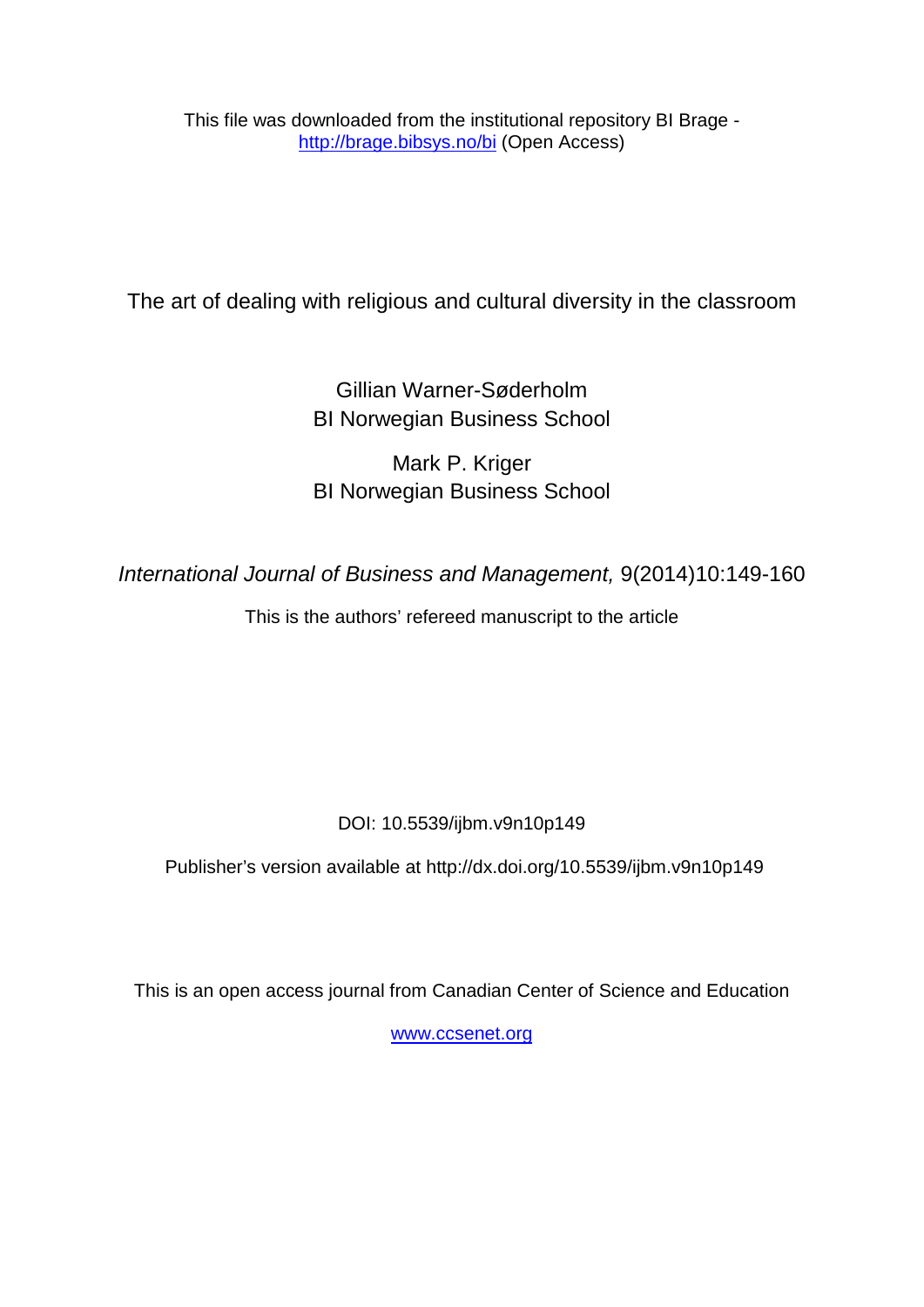This file was downloaded from the institutional repository BI Brage <http://brage.bibsys.no/bi> (Open Access)

The art of dealing with religious and cultural diversity in the classroom

Gillian Warner-Søderholm BI Norwegian Business School

Mark P. Kriger BI Norwegian Business School

*International Journal of Business and Management,* 9(2014)10:149-160

This is the authors' refereed manuscript to the article

DOI: 10.5539/ijbm.v9n10p149

Publisher's version available at http://dx.doi.org/10.5539/ijbm.v9n10p149

This is an open access journal from Canadian Center of Science and Education

[www.ccsenet.org](http://www.ccsenet.org/)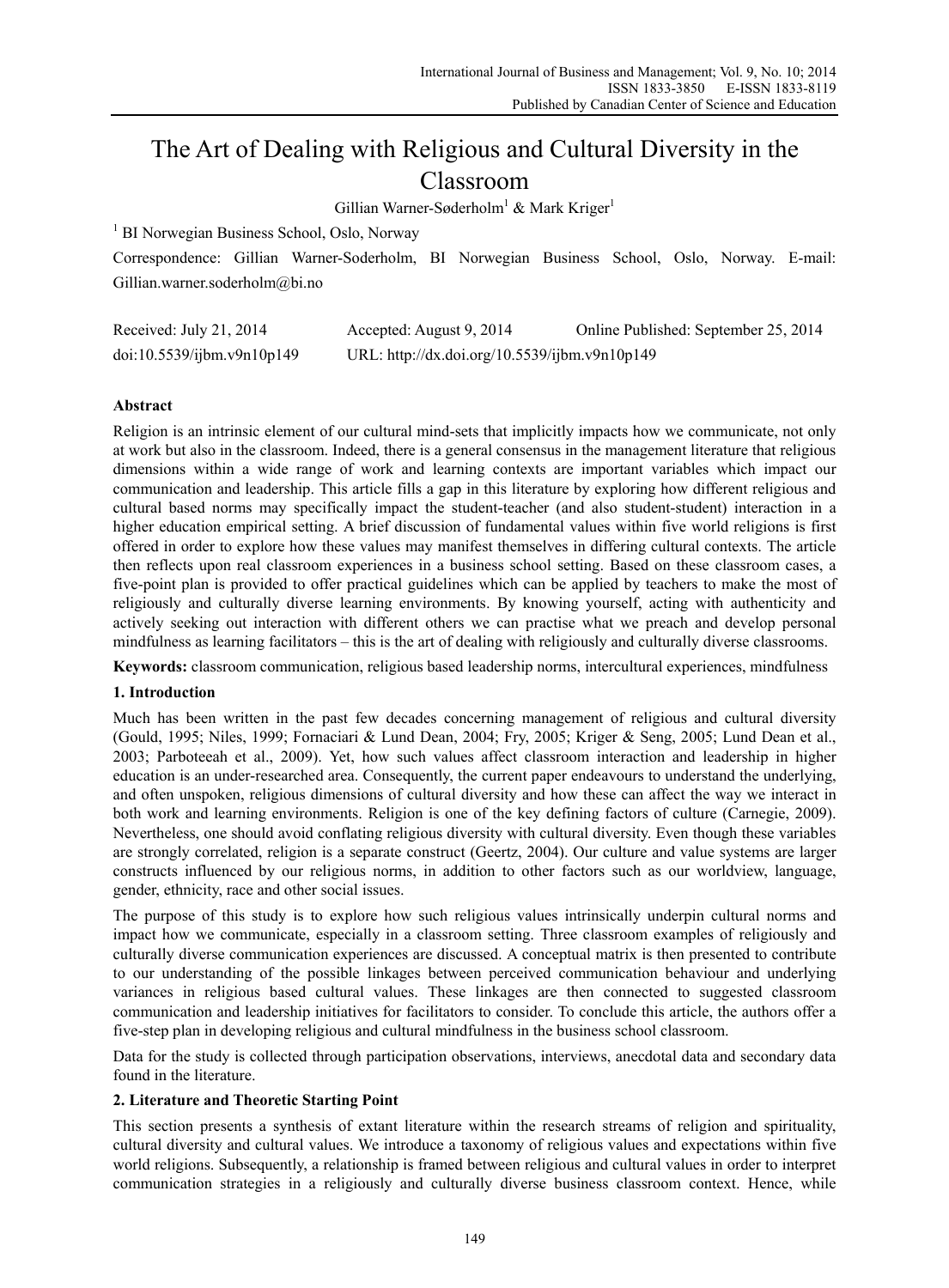# The Art of Dealing with Religious and Cultural Diversity in the Classroom

Gillian Warner-Søderholm<sup>1</sup> & Mark Kriger<sup>1</sup>

<sup>1</sup> BI Norwegian Business School, Oslo, Norway

Correspondence: Gillian Warner-Soderholm, BI Norwegian Business School, Oslo, Norway. E-mail: Gillian.warner.soderholm@bi.no

| Received: July 21, 2014    | Accepted: August 9, 2014                      | Online Published: September 25, 2014 |
|----------------------------|-----------------------------------------------|--------------------------------------|
| doi:10.5539/ijbm.v9n10p149 | URL: http://dx.doi.org/10.5539/ijbm.v9n10p149 |                                      |

# **Abstract**

Religion is an intrinsic element of our cultural mind-sets that implicitly impacts how we communicate, not only at work but also in the classroom. Indeed, there is a general consensus in the management literature that religious dimensions within a wide range of work and learning contexts are important variables which impact our communication and leadership. This article fills a gap in this literature by exploring how different religious and cultural based norms may specifically impact the student-teacher (and also student-student) interaction in a higher education empirical setting. A brief discussion of fundamental values within five world religions is first offered in order to explore how these values may manifest themselves in differing cultural contexts. The article then reflects upon real classroom experiences in a business school setting. Based on these classroom cases, a five-point plan is provided to offer practical guidelines which can be applied by teachers to make the most of religiously and culturally diverse learning environments. By knowing yourself, acting with authenticity and actively seeking out interaction with different others we can practise what we preach and develop personal mindfulness as learning facilitators – this is the art of dealing with religiously and culturally diverse classrooms.

**Keywords:** classroom communication, religious based leadership norms, intercultural experiences, mindfulness

### **1. Introduction**

Much has been written in the past few decades concerning management of religious and cultural diversity (Gould, 1995; Niles, 1999; Fornaciari & Lund Dean, 2004; Fry, 2005; Kriger & Seng, 2005; Lund Dean et al., 2003; Parboteeah et al., 2009). Yet, how such values affect classroom interaction and leadership in higher education is an under-researched area. Consequently, the current paper endeavours to understand the underlying, and often unspoken, religious dimensions of cultural diversity and how these can affect the way we interact in both work and learning environments. Religion is one of the key defining factors of culture (Carnegie, 2009). Nevertheless, one should avoid conflating religious diversity with cultural diversity. Even though these variables are strongly correlated, religion is a separate construct (Geertz, 2004). Our culture and value systems are larger constructs influenced by our religious norms, in addition to other factors such as our worldview, language, gender, ethnicity, race and other social issues.

The purpose of this study is to explore how such religious values intrinsically underpin cultural norms and impact how we communicate, especially in a classroom setting. Three classroom examples of religiously and culturally diverse communication experiences are discussed. A conceptual matrix is then presented to contribute to our understanding of the possible linkages between perceived communication behaviour and underlying variances in religious based cultural values. These linkages are then connected to suggested classroom communication and leadership initiatives for facilitators to consider. To conclude this article, the authors offer a five-step plan in developing religious and cultural mindfulness in the business school classroom.

Data for the study is collected through participation observations, interviews, anecdotal data and secondary data found in the literature.

# **2. Literature and Theoretic Starting Point**

This section presents a synthesis of extant literature within the research streams of religion and spirituality, cultural diversity and cultural values. We introduce a taxonomy of religious values and expectations within five world religions. Subsequently, a relationship is framed between religious and cultural values in order to interpret communication strategies in a religiously and culturally diverse business classroom context. Hence, while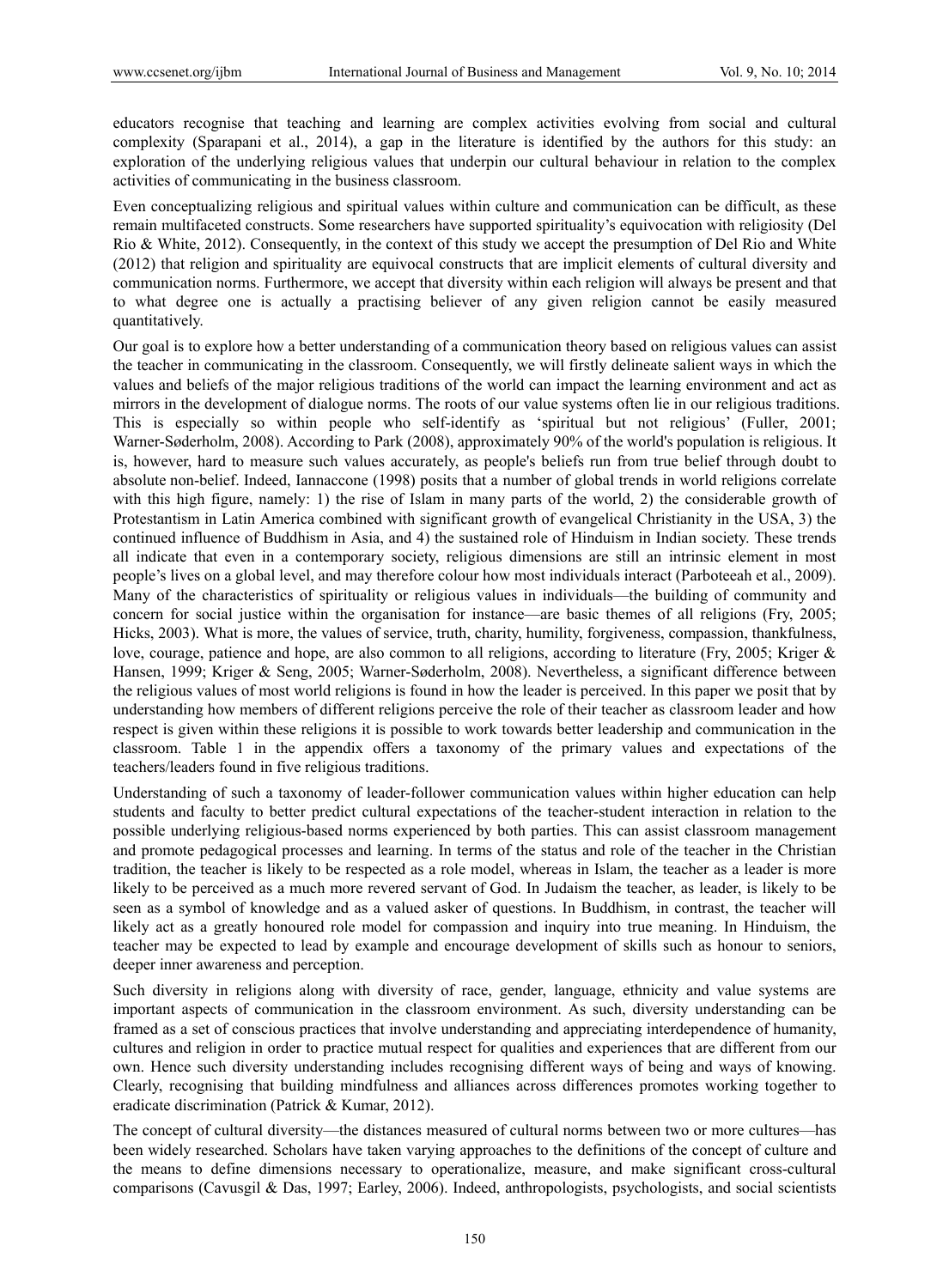educators recognise that teaching and learning are complex activities evolving from social and cultural complexity (Sparapani et al., 2014), a gap in the literature is identified by the authors for this study: an exploration of the underlying religious values that underpin our cultural behaviour in relation to the complex activities of communicating in the business classroom.

Even conceptualizing religious and spiritual values within culture and communication can be difficult, as these remain multifaceted constructs. Some researchers have supported spirituality's equivocation with religiosity (Del Rio & White, 2012). Consequently, in the context of this study we accept the presumption of Del Rio and White (2012) that religion and spirituality are equivocal constructs that are implicit elements of cultural diversity and communication norms. Furthermore, we accept that diversity within each religion will always be present and that to what degree one is actually a practising believer of any given religion cannot be easily measured quantitatively.

Our goal is to explore how a better understanding of a communication theory based on religious values can assist the teacher in communicating in the classroom. Consequently, we will firstly delineate salient ways in which the values and beliefs of the major religious traditions of the world can impact the learning environment and act as mirrors in the development of dialogue norms. The roots of our value systems often lie in our religious traditions. This is especially so within people who self-identify as 'spiritual but not religious' (Fuller, 2001; Warner-Søderholm, 2008). According to Park (2008), approximately 90% of the world's population is religious. It is, however, hard to measure such values accurately, as people's beliefs run from true belief through doubt to absolute non-belief. Indeed, Iannaccone (1998) posits that a number of global trends in world religions correlate with this high figure, namely: 1) the rise of Islam in many parts of the world, 2) the considerable growth of Protestantism in Latin America combined with significant growth of evangelical Christianity in the USA, 3) the continued influence of Buddhism in Asia, and 4) the sustained role of Hinduism in Indian society. These trends all indicate that even in a contemporary society, religious dimensions are still an intrinsic element in most people's lives on a global level, and may therefore colour how most individuals interact (Parboteeah et al., 2009). Many of the characteristics of spirituality or religious values in individuals—the building of community and concern for social justice within the organisation for instance—are basic themes of all religions (Fry, 2005; Hicks, 2003). What is more, the values of service, truth, charity, humility, forgiveness, compassion, thankfulness, love, courage, patience and hope, are also common to all religions, according to literature (Fry, 2005; Kriger & Hansen, 1999; Kriger & Seng, 2005; Warner-Søderholm, 2008). Nevertheless, a significant difference between the religious values of most world religions is found in how the leader is perceived. In this paper we posit that by understanding how members of different religions perceive the role of their teacher as classroom leader and how respect is given within these religions it is possible to work towards better leadership and communication in the classroom. Table 1 in the appendix offers a taxonomy of the primary values and expectations of the teachers/leaders found in five religious traditions.

Understanding of such a taxonomy of leader-follower communication values within higher education can help students and faculty to better predict cultural expectations of the teacher-student interaction in relation to the possible underlying religious-based norms experienced by both parties. This can assist classroom management and promote pedagogical processes and learning. In terms of the status and role of the teacher in the Christian tradition, the teacher is likely to be respected as a role model, whereas in Islam, the teacher as a leader is more likely to be perceived as a much more revered servant of God. In Judaism the teacher, as leader, is likely to be seen as a symbol of knowledge and as a valued asker of questions. In Buddhism, in contrast, the teacher will likely act as a greatly honoured role model for compassion and inquiry into true meaning. In Hinduism, the teacher may be expected to lead by example and encourage development of skills such as honour to seniors, deeper inner awareness and perception.

Such diversity in religions along with diversity of race, gender, language, ethnicity and value systems are important aspects of communication in the classroom environment. As such, diversity understanding can be framed as a set of conscious practices that involve understanding and appreciating interdependence of humanity, cultures and religion in order to practice mutual respect for qualities and experiences that are different from our own. Hence such diversity understanding includes recognising different ways of being and ways of knowing. Clearly, recognising that building mindfulness and alliances across differences promotes working together to eradicate discrimination (Patrick & Kumar, 2012).

The concept of cultural diversity—the distances measured of cultural norms between two or more cultures—has been widely researched. Scholars have taken varying approaches to the definitions of the concept of culture and the means to define dimensions necessary to operationalize, measure, and make significant cross-cultural comparisons (Cavusgil & Das, 1997; Earley, 2006). Indeed, anthropologists, psychologists, and social scientists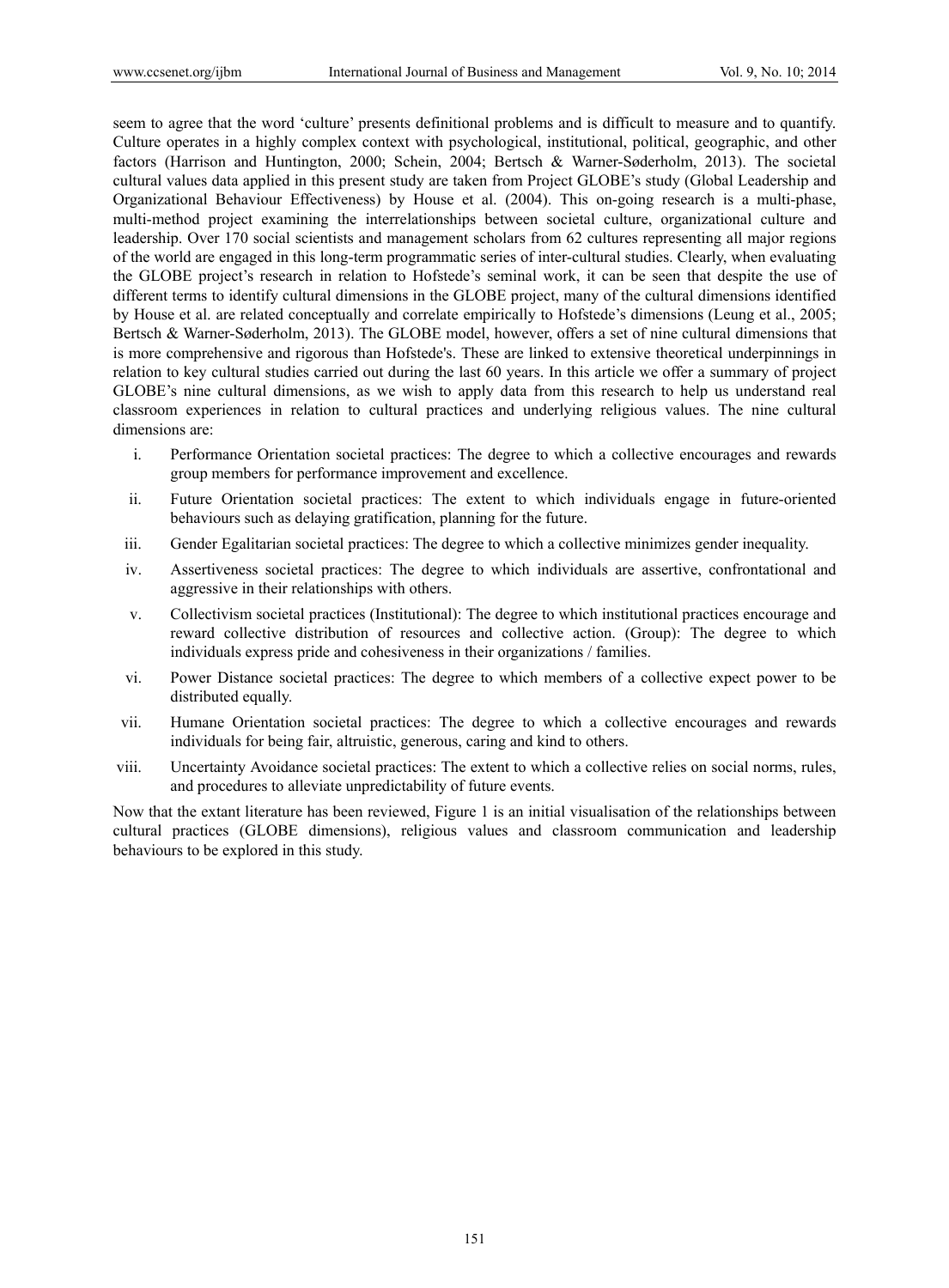seem to agree that the word 'culture' presents definitional problems and is difficult to measure and to quantify. Culture operates in a highly complex context with psychological, institutional, political, geographic, and other factors (Harrison and Huntington, 2000; Schein, 2004; Bertsch & Warner-Søderholm, 2013). The societal cultural values data applied in this present study are taken from Project GLOBE's study (Global Leadership and Organizational Behaviour Effectiveness) by House et al. (2004). This on-going research is a multi-phase, multi-method project examining the interrelationships between societal culture, organizational culture and leadership. Over 170 social scientists and management scholars from 62 cultures representing all major regions of the world are engaged in this long-term programmatic series of inter-cultural studies. Clearly, when evaluating the GLOBE project's research in relation to Hofstede's seminal work, it can be seen that despite the use of different terms to identify cultural dimensions in the GLOBE project, many of the cultural dimensions identified by House et al. are related conceptually and correlate empirically to Hofstede's dimensions (Leung et al., 2005; Bertsch & Warner-Søderholm, 2013). The GLOBE model, however, offers a set of nine cultural dimensions that is more comprehensive and rigorous than Hofstede's. These are linked to extensive theoretical underpinnings in relation to key cultural studies carried out during the last 60 years. In this article we offer a summary of project GLOBE's nine cultural dimensions, as we wish to apply data from this research to help us understand real classroom experiences in relation to cultural practices and underlying religious values. The nine cultural dimensions are:

- i. Performance Orientation societal practices: The degree to which a collective encourages and rewards group members for performance improvement and excellence.
- ii. Future Orientation societal practices: The extent to which individuals engage in future-oriented behaviours such as delaying gratification, planning for the future.
- iii. Gender Egalitarian societal practices: The degree to which a collective minimizes gender inequality.
- iv. Assertiveness societal practices: The degree to which individuals are assertive, confrontational and aggressive in their relationships with others.
- v. Collectivism societal practices (Institutional): The degree to which institutional practices encourage and reward collective distribution of resources and collective action. (Group): The degree to which individuals express pride and cohesiveness in their organizations / families.
- vi. Power Distance societal practices: The degree to which members of a collective expect power to be distributed equally.
- vii. Humane Orientation societal practices: The degree to which a collective encourages and rewards individuals for being fair, altruistic, generous, caring and kind to others.
- viii. Uncertainty Avoidance societal practices: The extent to which a collective relies on social norms, rules, and procedures to alleviate unpredictability of future events.

Now that the extant literature has been reviewed, Figure 1 is an initial visualisation of the relationships between cultural practices (GLOBE dimensions), religious values and classroom communication and leadership behaviours to be explored in this study.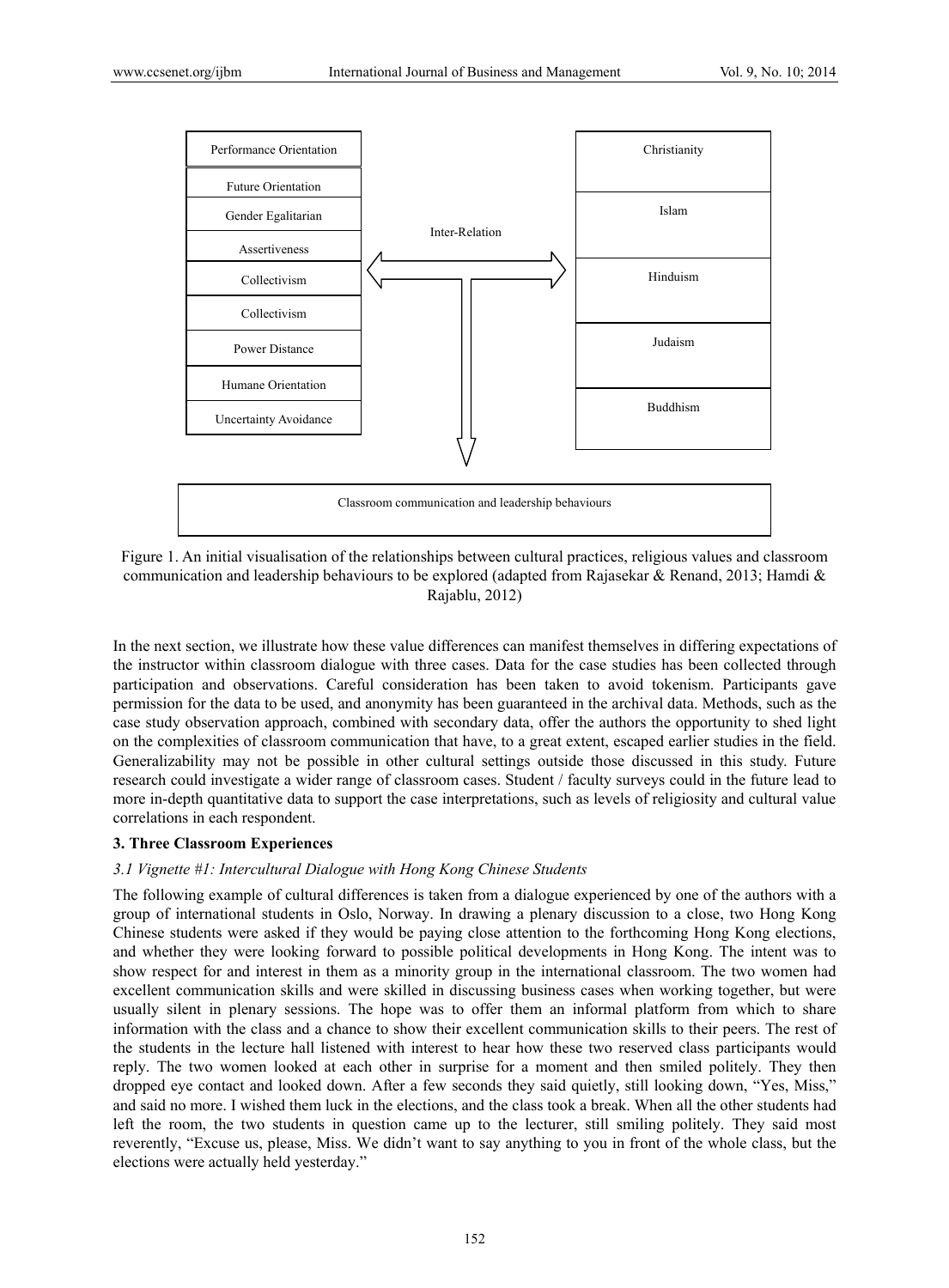

Figure 1. An initial visualisation of the relationships between cultural practices, religious values and classroom communication and leadership behaviours to be explored (adapted from Rajasekar & Renand, 2013; Hamdi & Rajablu, 2012)

In the next section, we illustrate how these value differences can manifest themselves in differing expectations of the instructor within classroom dialogue with three cases. Data for the case studies has been collected through participation and observations. Careful consideration has been taken to avoid tokenism. Participants gave permission for the data to be used, and anonymity has been guaranteed in the archival data. Methods, such as the case study observation approach, combined with secondary data, offer the authors the opportunity to shed light on the complexities of classroom communication that have, to a great extent, escaped earlier studies in the field. Generalizability may not be possible in other cultural settings outside those discussed in this study. Future research could investigate a wider range of classroom cases. Student / faculty surveys could in the future lead to more in-depth quantitative data to support the case interpretations, such as levels of religiosity and cultural value correlations in each respondent.

#### **3. Three Classroom Experiences**

## *3.1 Vignette #1: Intercultural Dialogue with Hong Kong Chinese Students*

The following example of cultural differences is taken from a dialogue experienced by one of the authors with a group of international students in Oslo, Norway. In drawing a plenary discussion to a close, two Hong Kong Chinese students were asked if they would be paying close attention to the forthcoming Hong Kong elections, and whether they were looking forward to possible political developments in Hong Kong. The intent was to show respect for and interest in them as a minority group in the international classroom. The two women had excellent communication skills and were skilled in discussing business cases when working together, but were usually silent in plenary sessions. The hope was to offer them an informal platform from which to share information with the class and a chance to show their excellent communication skills to their peers. The rest of the students in the lecture hall listened with interest to hear how these two reserved class participants would reply. The two women looked at each other in surprise for a moment and then smiled politely. They then dropped eye contact and looked down. After a few seconds they said quietly, still looking down, "Yes, Miss," and said no more. I wished them luck in the elections, and the class took a break. When all the other students had left the room, the two students in question came up to the lecturer, still smiling politely. They said most reverently, "Excuse us, please, Miss. We didn't want to say anything to you in front of the whole class, but the elections were actually held yesterday."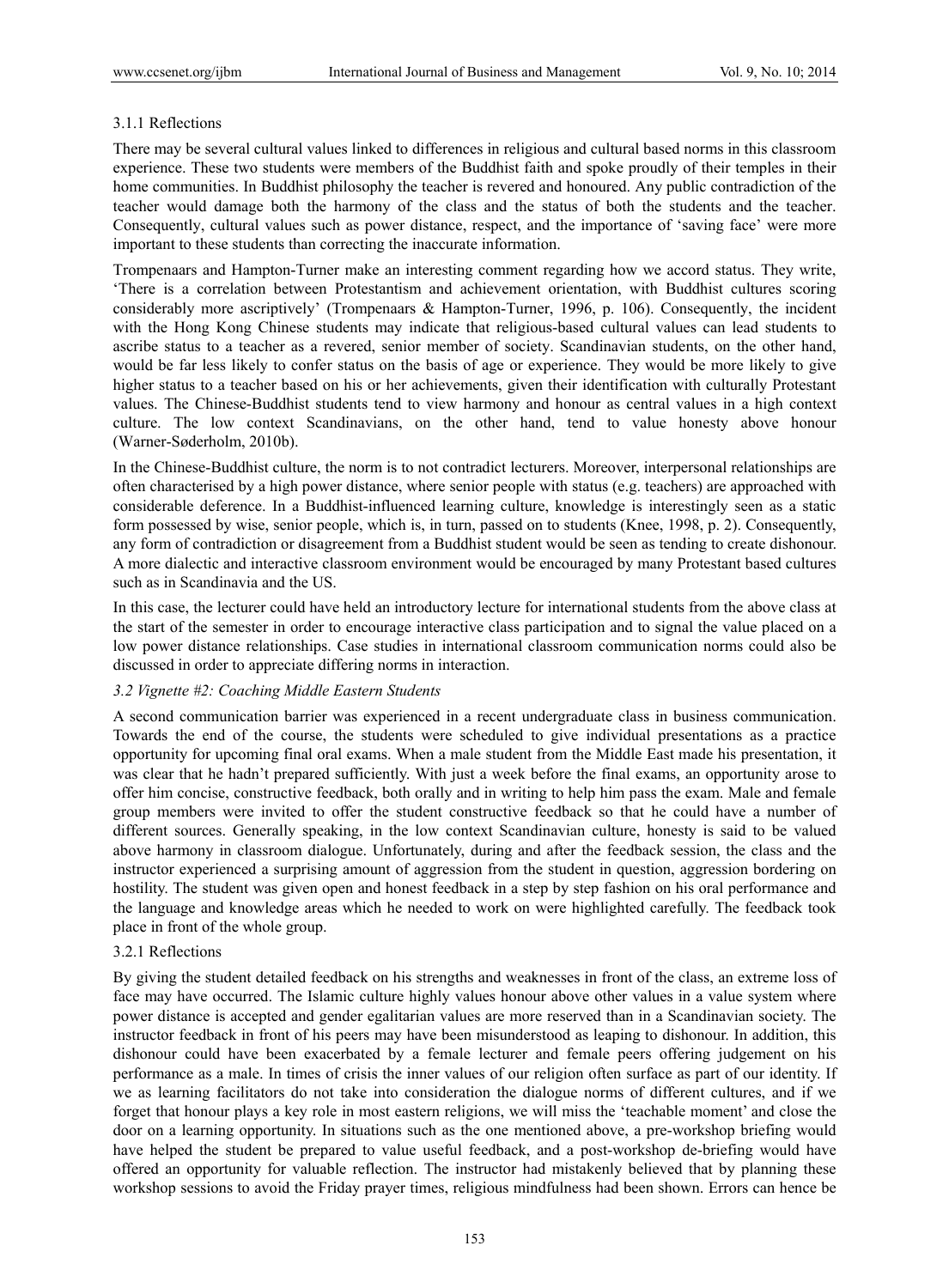### 3.1.1 Reflections

There may be several cultural values linked to differences in religious and cultural based norms in this classroom experience. These two students were members of the Buddhist faith and spoke proudly of their temples in their home communities. In Buddhist philosophy the teacher is revered and honoured. Any public contradiction of the teacher would damage both the harmony of the class and the status of both the students and the teacher. Consequently, cultural values such as power distance, respect, and the importance of 'saving face' were more important to these students than correcting the inaccurate information.

Trompenaars and Hampton-Turner make an interesting comment regarding how we accord status. They write, 'There is a correlation between Protestantism and achievement orientation, with Buddhist cultures scoring considerably more ascriptively' (Trompenaars & Hampton-Turner, 1996, p. 106). Consequently, the incident with the Hong Kong Chinese students may indicate that religious-based cultural values can lead students to ascribe status to a teacher as a revered, senior member of society. Scandinavian students, on the other hand, would be far less likely to confer status on the basis of age or experience. They would be more likely to give higher status to a teacher based on his or her achievements, given their identification with culturally Protestant values. The Chinese-Buddhist students tend to view harmony and honour as central values in a high context culture. The low context Scandinavians, on the other hand, tend to value honesty above honour (Warner-Søderholm, 2010b).

In the Chinese-Buddhist culture, the norm is to not contradict lecturers. Moreover, interpersonal relationships are often characterised by a high power distance, where senior people with status (e.g. teachers) are approached with considerable deference. In a Buddhist-influenced learning culture, knowledge is interestingly seen as a static form possessed by wise, senior people, which is, in turn, passed on to students (Knee, 1998, p. 2). Consequently, any form of contradiction or disagreement from a Buddhist student would be seen as tending to create dishonour. A more dialectic and interactive classroom environment would be encouraged by many Protestant based cultures such as in Scandinavia and the US.

In this case, the lecturer could have held an introductory lecture for international students from the above class at the start of the semester in order to encourage interactive class participation and to signal the value placed on a low power distance relationships. Case studies in international classroom communication norms could also be discussed in order to appreciate differing norms in interaction.

### *3.2 Vignette #2: Coaching Middle Eastern Students*

A second communication barrier was experienced in a recent undergraduate class in business communication. Towards the end of the course, the students were scheduled to give individual presentations as a practice opportunity for upcoming final oral exams. When a male student from the Middle East made his presentation, it was clear that he hadn't prepared sufficiently. With just a week before the final exams, an opportunity arose to offer him concise, constructive feedback, both orally and in writing to help him pass the exam. Male and female group members were invited to offer the student constructive feedback so that he could have a number of different sources. Generally speaking, in the low context Scandinavian culture, honesty is said to be valued above harmony in classroom dialogue. Unfortunately, during and after the feedback session, the class and the instructor experienced a surprising amount of aggression from the student in question, aggression bordering on hostility. The student was given open and honest feedback in a step by step fashion on his oral performance and the language and knowledge areas which he needed to work on were highlighted carefully. The feedback took place in front of the whole group.

### 3.2.1 Reflections

By giving the student detailed feedback on his strengths and weaknesses in front of the class, an extreme loss of face may have occurred. The Islamic culture highly values honour above other values in a value system where power distance is accepted and gender egalitarian values are more reserved than in a Scandinavian society. The instructor feedback in front of his peers may have been misunderstood as leaping to dishonour. In addition, this dishonour could have been exacerbated by a female lecturer and female peers offering judgement on his performance as a male. In times of crisis the inner values of our religion often surface as part of our identity. If we as learning facilitators do not take into consideration the dialogue norms of different cultures, and if we forget that honour plays a key role in most eastern religions, we will miss the 'teachable moment' and close the door on a learning opportunity. In situations such as the one mentioned above, a pre-workshop briefing would have helped the student be prepared to value useful feedback, and a post-workshop de-briefing would have offered an opportunity for valuable reflection. The instructor had mistakenly believed that by planning these workshop sessions to avoid the Friday prayer times, religious mindfulness had been shown. Errors can hence be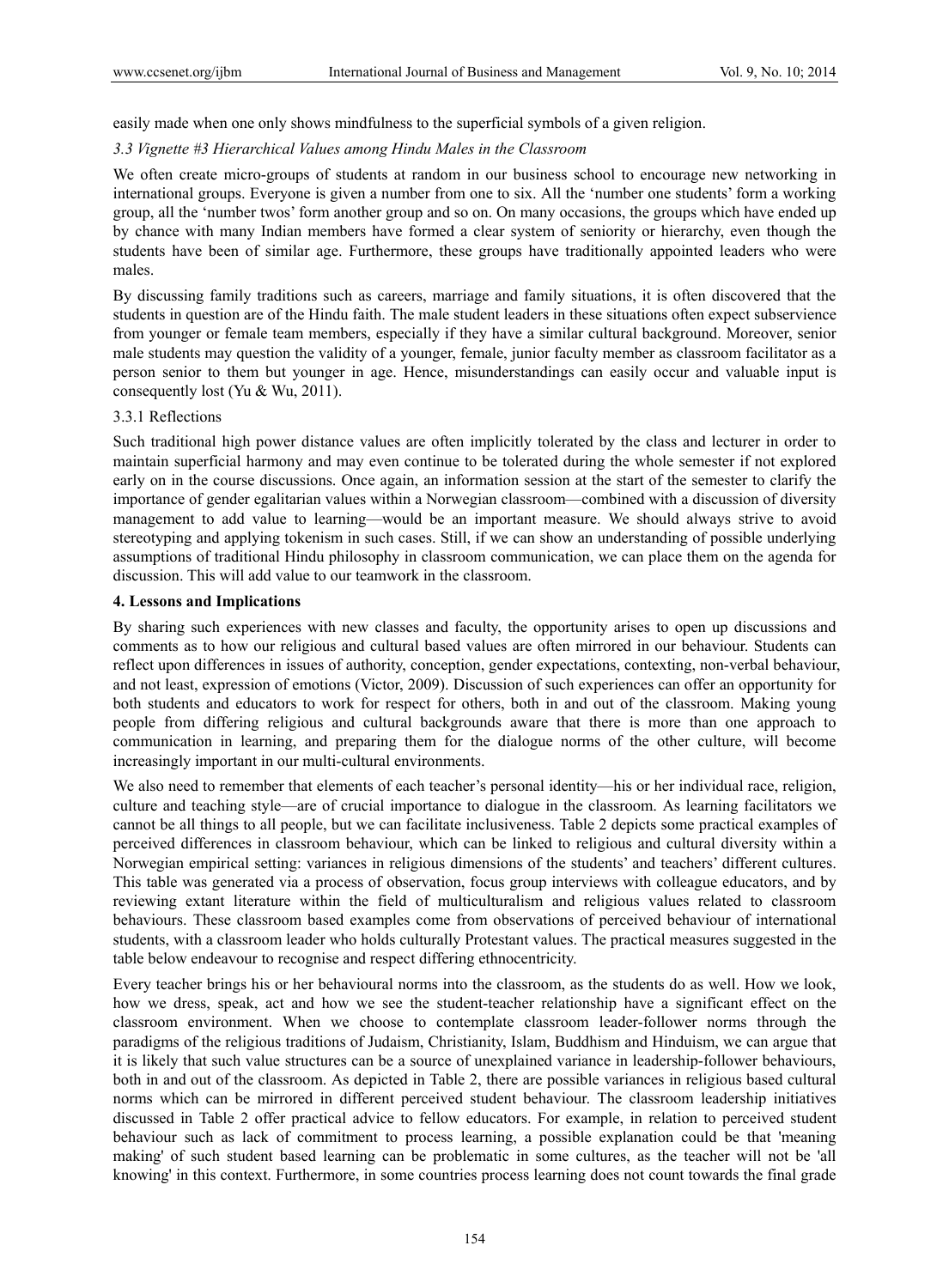easily made when one only shows mindfulness to the superficial symbols of a given religion.

#### *3.3 Vignette #3 Hierarchical Values among Hindu Males in the Classroom*

We often create micro-groups of students at random in our business school to encourage new networking in international groups. Everyone is given a number from one to six. All the 'number one students' form a working group, all the 'number twos' form another group and so on. On many occasions, the groups which have ended up by chance with many Indian members have formed a clear system of seniority or hierarchy, even though the students have been of similar age. Furthermore, these groups have traditionally appointed leaders who were males.

By discussing family traditions such as careers, marriage and family situations, it is often discovered that the students in question are of the Hindu faith. The male student leaders in these situations often expect subservience from younger or female team members, especially if they have a similar cultural background. Moreover, senior male students may question the validity of a younger, female, junior faculty member as classroom facilitator as a person senior to them but younger in age. Hence, misunderstandings can easily occur and valuable input is consequently lost (Yu & Wu, 2011).

#### 3.3.1 Reflections

Such traditional high power distance values are often implicitly tolerated by the class and lecturer in order to maintain superficial harmony and may even continue to be tolerated during the whole semester if not explored early on in the course discussions. Once again, an information session at the start of the semester to clarify the importance of gender egalitarian values within a Norwegian classroom—combined with a discussion of diversity management to add value to learning—would be an important measure. We should always strive to avoid stereotyping and applying tokenism in such cases. Still, if we can show an understanding of possible underlying assumptions of traditional Hindu philosophy in classroom communication, we can place them on the agenda for discussion. This will add value to our teamwork in the classroom.

#### **4. Lessons and Implications**

By sharing such experiences with new classes and faculty, the opportunity arises to open up discussions and comments as to how our religious and cultural based values are often mirrored in our behaviour. Students can reflect upon differences in issues of authority, conception, gender expectations, contexting, non-verbal behaviour, and not least, expression of emotions (Victor, 2009). Discussion of such experiences can offer an opportunity for both students and educators to work for respect for others, both in and out of the classroom. Making young people from differing religious and cultural backgrounds aware that there is more than one approach to communication in learning, and preparing them for the dialogue norms of the other culture, will become increasingly important in our multi-cultural environments.

We also need to remember that elements of each teacher's personal identity—his or her individual race, religion, culture and teaching style—are of crucial importance to dialogue in the classroom. As learning facilitators we cannot be all things to all people, but we can facilitate inclusiveness. Table 2 depicts some practical examples of perceived differences in classroom behaviour, which can be linked to religious and cultural diversity within a Norwegian empirical setting: variances in religious dimensions of the students' and teachers' different cultures. This table was generated via a process of observation, focus group interviews with colleague educators, and by reviewing extant literature within the field of multiculturalism and religious values related to classroom behaviours. These classroom based examples come from observations of perceived behaviour of international students, with a classroom leader who holds culturally Protestant values. The practical measures suggested in the table below endeavour to recognise and respect differing ethnocentricity.

Every teacher brings his or her behavioural norms into the classroom, as the students do as well. How we look, how we dress, speak, act and how we see the student-teacher relationship have a significant effect on the classroom environment. When we choose to contemplate classroom leader-follower norms through the paradigms of the religious traditions of Judaism, Christianity, Islam, Buddhism and Hinduism, we can argue that it is likely that such value structures can be a source of unexplained variance in leadership-follower behaviours, both in and out of the classroom. As depicted in Table 2, there are possible variances in religious based cultural norms which can be mirrored in different perceived student behaviour. The classroom leadership initiatives discussed in Table 2 offer practical advice to fellow educators. For example, in relation to perceived student behaviour such as lack of commitment to process learning, a possible explanation could be that 'meaning making' of such student based learning can be problematic in some cultures, as the teacher will not be 'all knowing' in this context. Furthermore, in some countries process learning does not count towards the final grade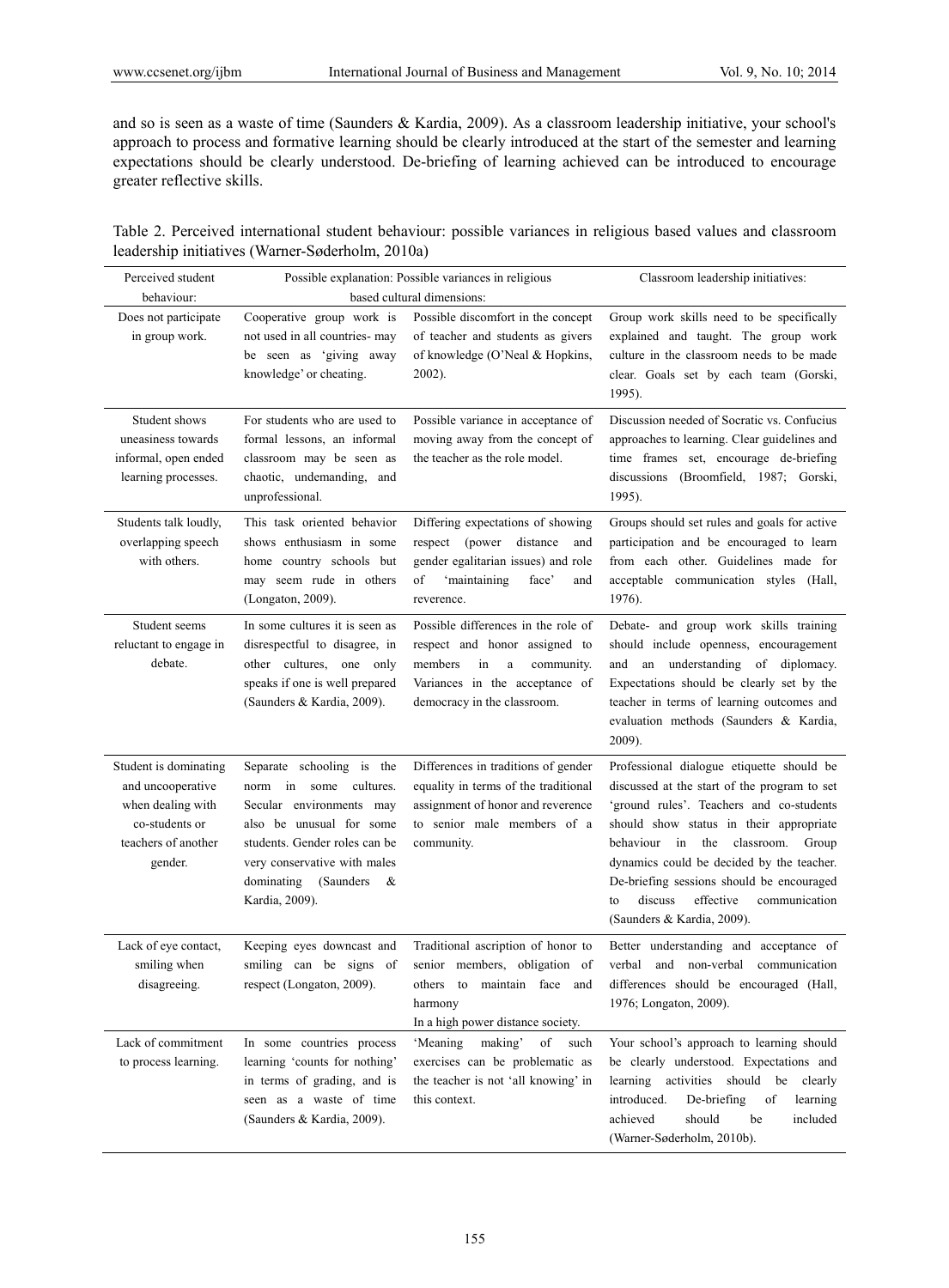and so is seen as a waste of time (Saunders & Kardia, 2009). As a classroom leadership initiative, your school's approach to process and formative learning should be clearly introduced at the start of the semester and learning expectations should be clearly understood. De-briefing of learning achieved can be introduced to encourage greater reflective skills.

| Table 2. Perceived international student behaviour: possible variances in religious based values and classroom |  |  |  |  |  |  |
|----------------------------------------------------------------------------------------------------------------|--|--|--|--|--|--|
| leadership initiatives (Warner-Søderholm, 2010a)                                                               |  |  |  |  |  |  |

| Perceived student                                                                                                   |                                                                                                                                                                                                                                 | Possible explanation: Possible variances in religious                                                                                                                            | Classroom leadership initiatives:                                                                                                                                                                                                                                                                                                                                                               |  |  |
|---------------------------------------------------------------------------------------------------------------------|---------------------------------------------------------------------------------------------------------------------------------------------------------------------------------------------------------------------------------|----------------------------------------------------------------------------------------------------------------------------------------------------------------------------------|-------------------------------------------------------------------------------------------------------------------------------------------------------------------------------------------------------------------------------------------------------------------------------------------------------------------------------------------------------------------------------------------------|--|--|
| behaviour:                                                                                                          |                                                                                                                                                                                                                                 | based cultural dimensions:                                                                                                                                                       |                                                                                                                                                                                                                                                                                                                                                                                                 |  |  |
| Does not participate<br>in group work.                                                                              | Cooperative group work is<br>not used in all countries- may<br>be seen as 'giving away<br>knowledge' or cheating.                                                                                                               | Possible discomfort in the concept<br>of teacher and students as givers<br>of knowledge (O'Neal & Hopkins,<br>2002).                                                             | Group work skills need to be specifically<br>explained and taught. The group work<br>culture in the classroom needs to be made<br>clear. Goals set by each team (Gorski,<br>1995).                                                                                                                                                                                                              |  |  |
| Student shows<br>uneasiness towards<br>informal, open ended<br>learning processes.                                  | For students who are used to<br>formal lessons, an informal<br>classroom may be seen as<br>chaotic, undemanding, and<br>unprofessional.                                                                                         | Possible variance in acceptance of<br>moving away from the concept of<br>the teacher as the role model.                                                                          | Discussion needed of Socratic vs. Confucius<br>approaches to learning. Clear guidelines and<br>time frames set, encourage de-briefing<br>discussions (Broomfield, 1987; Gorski,<br>1995).                                                                                                                                                                                                       |  |  |
| Students talk loudly,<br>overlapping speech<br>with others.                                                         | This task oriented behavior<br>shows enthusiasm in some<br>home country schools but<br>may seem rude in others<br>(Longaton, 2009).                                                                                             | Differing expectations of showing<br>respect (power distance<br>and<br>gender egalitarian issues) and role<br>'maintaining<br>of<br>face'<br>and<br>reverence.                   | Groups should set rules and goals for active<br>participation and be encouraged to learn<br>from each other. Guidelines made for<br>acceptable communication styles (Hall,<br>1976).                                                                                                                                                                                                            |  |  |
| Student seems<br>reluctant to engage in<br>debate.                                                                  | In some cultures it is seen as<br>disrespectful to disagree, in<br>other cultures, one only<br>speaks if one is well prepared<br>(Saunders & Kardia, 2009).                                                                     | Possible differences in the role of<br>respect and honor assigned to<br>members<br>in<br>$\rm{a}$<br>community.<br>Variances in the acceptance of<br>democracy in the classroom. | Debate- and group work skills training<br>should include openness, encouragement<br>an understanding of diplomacy.<br>and<br>Expectations should be clearly set by the<br>teacher in terms of learning outcomes and<br>evaluation methods (Saunders & Kardia,<br>2009).                                                                                                                         |  |  |
| Student is dominating<br>and uncooperative<br>when dealing with<br>co-students or<br>teachers of another<br>gender. | Separate schooling is the<br>norm in some cultures.<br>Secular environments may<br>also be unusual for some<br>students. Gender roles can be<br>very conservative with males<br>dominating<br>(Saunders)<br>&<br>Kardia, 2009). | Differences in traditions of gender<br>equality in terms of the traditional<br>assignment of honor and reverence<br>to senior male members of a<br>community.                    | Professional dialogue etiquette should be<br>discussed at the start of the program to set<br>'ground rules'. Teachers and co-students<br>should show status in their appropriate<br>behaviour in the classroom.<br>Group<br>dynamics could be decided by the teacher.<br>De-briefing sessions should be encouraged<br>effective<br>discuss<br>communication<br>to<br>(Saunders & Kardia, 2009). |  |  |
| Lack of eye contact,<br>smiling when<br>disagreeing.                                                                | Keeping eyes downcast and<br>smiling can be signs of<br>respect (Longaton, 2009).                                                                                                                                               | Traditional ascription of honor to<br>senior members, obligation of<br>others to maintain face<br>and<br>harmony<br>In a high power distance society.                            | Better understanding and acceptance of<br>verbal and non-verbal communication<br>differences should be encouraged (Hall,<br>1976; Longaton, 2009).                                                                                                                                                                                                                                              |  |  |
| Lack of commitment<br>to process learning.                                                                          | In some countries process<br>learning 'counts for nothing'<br>in terms of grading, and is<br>seen as a waste of time<br>(Saunders & Kardia, 2009).                                                                              | making'<br>'Meaning<br>of<br>such<br>exercises can be problematic as<br>the teacher is not 'all knowing' in<br>this context.                                                     | Your school's approach to learning should<br>be clearly understood. Expectations and<br>learning activities should be clearly<br>introduced.<br>De-briefing<br>of<br>learning<br>achieved<br>should<br>included<br>be<br>(Warner-Søderholm, 2010b).                                                                                                                                             |  |  |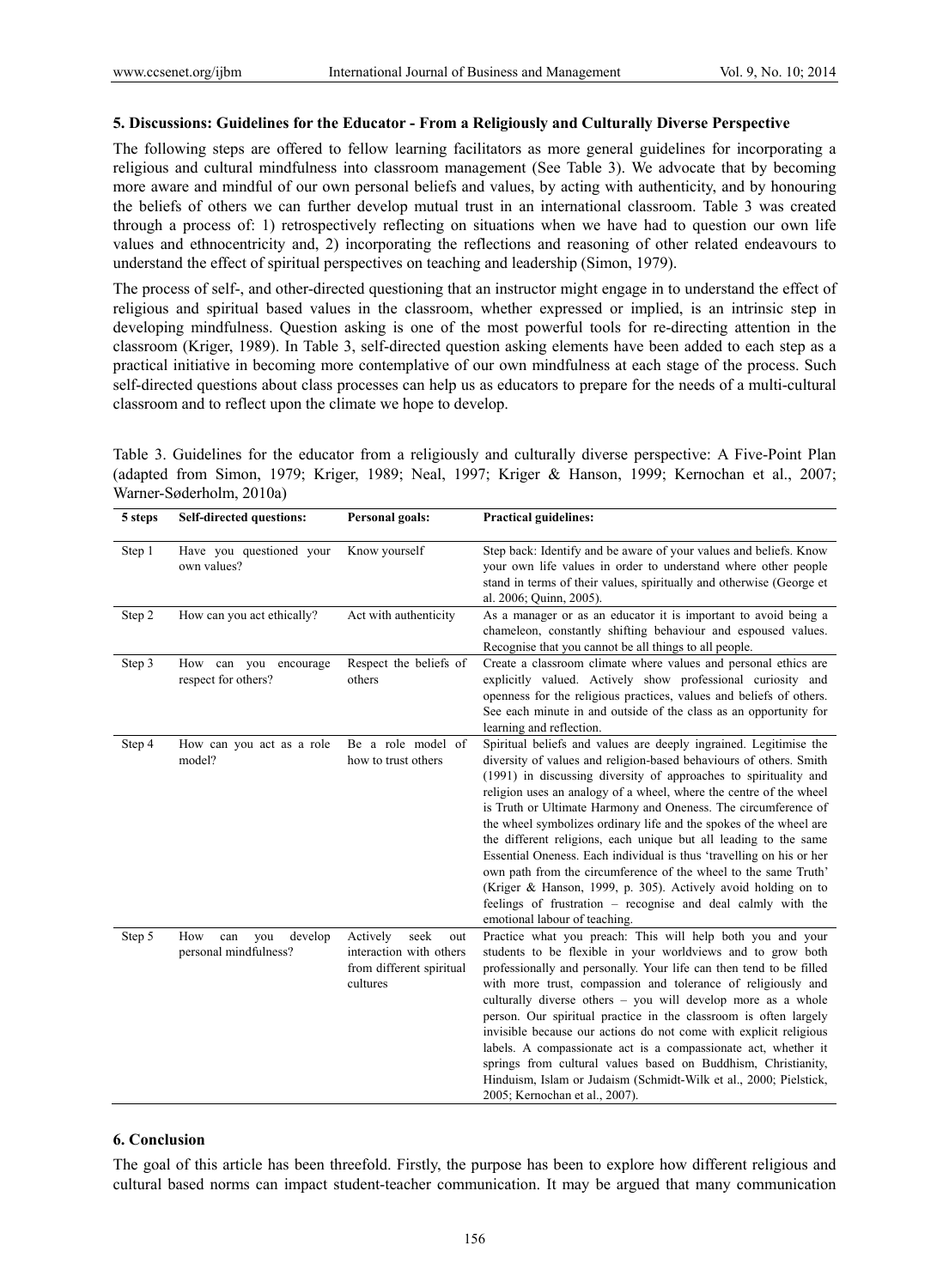#### **5. Discussions: Guidelines for the Educator - From a Religiously and Culturally Diverse Perspective**

The following steps are offered to fellow learning facilitators as more general guidelines for incorporating a religious and cultural mindfulness into classroom management (See Table 3). We advocate that by becoming more aware and mindful of our own personal beliefs and values, by acting with authenticity, and by honouring the beliefs of others we can further develop mutual trust in an international classroom. Table 3 was created through a process of: 1) retrospectively reflecting on situations when we have had to question our own life values and ethnocentricity and, 2) incorporating the reflections and reasoning of other related endeavours to understand the effect of spiritual perspectives on teaching and leadership (Simon, 1979).

The process of self-, and other-directed questioning that an instructor might engage in to understand the effect of religious and spiritual based values in the classroom, whether expressed or implied, is an intrinsic step in developing mindfulness. Question asking is one of the most powerful tools for re-directing attention in the classroom (Kriger, 1989). In Table 3, self-directed question asking elements have been added to each step as a practical initiative in becoming more contemplative of our own mindfulness at each stage of the process. Such self-directed questions about class processes can help us as educators to prepare for the needs of a multi-cultural classroom and to reflect upon the climate we hope to develop.

Table 3. Guidelines for the educator from a religiously and culturally diverse perspective: A Five-Point Plan (adapted from Simon, 1979; Kriger, 1989; Neal, 1997; Kriger & Hanson, 1999; Kernochan et al., 2007; Warner-Søderholm, 2010a)

| 5 steps | <b>Self-directed questions:</b>                       | <b>Personal goals:</b>                                                                     | <b>Practical guidelines:</b>                                                                                                                                                                                                                                                                                                                                                                                                                                                                                                                                                                                                                                                                                                                                                                               |
|---------|-------------------------------------------------------|--------------------------------------------------------------------------------------------|------------------------------------------------------------------------------------------------------------------------------------------------------------------------------------------------------------------------------------------------------------------------------------------------------------------------------------------------------------------------------------------------------------------------------------------------------------------------------------------------------------------------------------------------------------------------------------------------------------------------------------------------------------------------------------------------------------------------------------------------------------------------------------------------------------|
| Step 1  | Have you questioned your<br>own values?               | Know yourself                                                                              | Step back: Identify and be aware of your values and beliefs. Know<br>your own life values in order to understand where other people<br>stand in terms of their values, spiritually and otherwise (George et<br>al. 2006; Quinn, 2005).                                                                                                                                                                                                                                                                                                                                                                                                                                                                                                                                                                     |
| Step 2  | How can you act ethically?                            | Act with authenticity                                                                      | As a manager or as an educator it is important to avoid being a<br>chameleon, constantly shifting behaviour and espoused values.<br>Recognise that you cannot be all things to all people.                                                                                                                                                                                                                                                                                                                                                                                                                                                                                                                                                                                                                 |
| Step 3  | How can you<br>encourage<br>respect for others?       | Respect the beliefs of<br>others                                                           | Create a classroom climate where values and personal ethics are<br>explicitly valued. Actively show professional curiosity and<br>openness for the religious practices, values and beliefs of others.<br>See each minute in and outside of the class as an opportunity for<br>learning and reflection.                                                                                                                                                                                                                                                                                                                                                                                                                                                                                                     |
| Step 4  | How can you act as a role<br>model?                   | Be a role model of<br>how to trust others                                                  | Spiritual beliefs and values are deeply ingrained. Legitimise the<br>diversity of values and religion-based behaviours of others. Smith<br>(1991) in discussing diversity of approaches to spirituality and<br>religion uses an analogy of a wheel, where the centre of the wheel<br>is Truth or Ultimate Harmony and Oneness. The circumference of<br>the wheel symbolizes ordinary life and the spokes of the wheel are<br>the different religions, each unique but all leading to the same<br>Essential Oneness. Each individual is thus 'travelling on his or her<br>own path from the circumference of the wheel to the same Truth'<br>(Kriger & Hanson, 1999, p. 305). Actively avoid holding on to<br>feelings of frustration - recognise and deal calmly with the<br>emotional labour of teaching. |
| Step 5  | How<br>you<br>develop<br>can<br>personal mindfulness? | seek<br>Actively<br>out<br>interaction with others<br>from different spiritual<br>cultures | Practice what you preach: This will help both you and your<br>students to be flexible in your worldviews and to grow both<br>professionally and personally. Your life can then tend to be filled<br>with more trust, compassion and tolerance of religiously and<br>culturally diverse others - you will develop more as a whole<br>person. Our spiritual practice in the classroom is often largely<br>invisible because our actions do not come with explicit religious<br>labels. A compassionate act is a compassionate act, whether it<br>springs from cultural values based on Buddhism, Christianity,<br>Hinduism, Islam or Judaism (Schmidt-Wilk et al., 2000; Pielstick,<br>2005; Kernochan et al., 2007).                                                                                        |

## **6. Conclusion**

The goal of this article has been threefold. Firstly, the purpose has been to explore how different religious and cultural based norms can impact student-teacher communication. It may be argued that many communication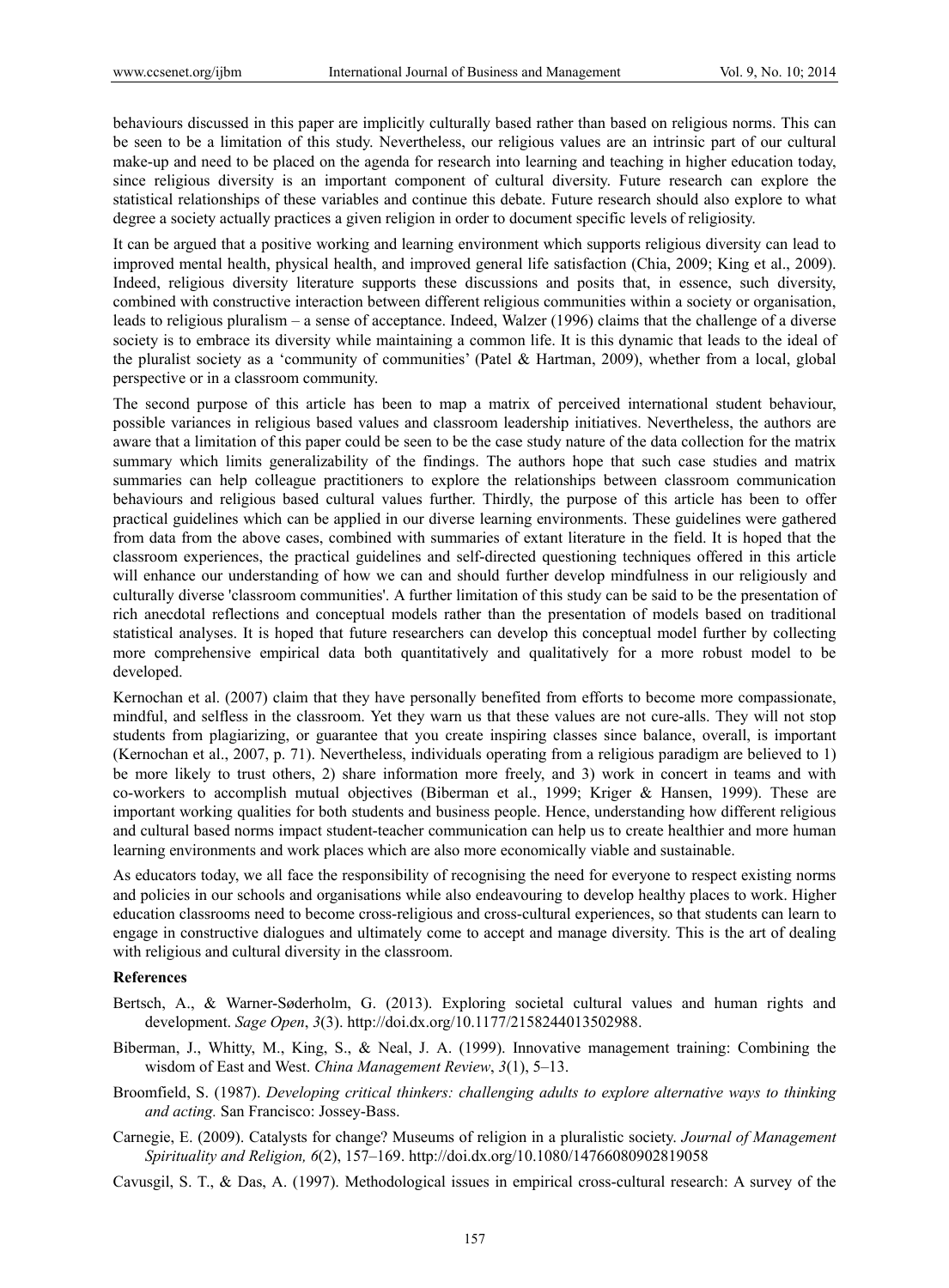behaviours discussed in this paper are implicitly culturally based rather than based on religious norms. This can be seen to be a limitation of this study. Nevertheless, our religious values are an intrinsic part of our cultural make-up and need to be placed on the agenda for research into learning and teaching in higher education today, since religious diversity is an important component of cultural diversity. Future research can explore the statistical relationships of these variables and continue this debate. Future research should also explore to what degree a society actually practices a given religion in order to document specific levels of religiosity.

It can be argued that a positive working and learning environment which supports religious diversity can lead to improved mental health, physical health, and improved general life satisfaction (Chia, 2009; King et al., 2009). Indeed, religious diversity literature supports these discussions and posits that, in essence, such diversity, combined with constructive interaction between different religious communities within a society or organisation, leads to religious pluralism – a sense of acceptance. Indeed, Walzer (1996) claims that the challenge of a diverse society is to embrace its diversity while maintaining a common life. It is this dynamic that leads to the ideal of the pluralist society as a 'community of communities' (Patel & Hartman, 2009), whether from a local, global perspective or in a classroom community.

The second purpose of this article has been to map a matrix of perceived international student behaviour, possible variances in religious based values and classroom leadership initiatives. Nevertheless, the authors are aware that a limitation of this paper could be seen to be the case study nature of the data collection for the matrix summary which limits generalizability of the findings. The authors hope that such case studies and matrix summaries can help colleague practitioners to explore the relationships between classroom communication behaviours and religious based cultural values further. Thirdly, the purpose of this article has been to offer practical guidelines which can be applied in our diverse learning environments. These guidelines were gathered from data from the above cases, combined with summaries of extant literature in the field. It is hoped that the classroom experiences, the practical guidelines and self-directed questioning techniques offered in this article will enhance our understanding of how we can and should further develop mindfulness in our religiously and culturally diverse 'classroom communities'. A further limitation of this study can be said to be the presentation of rich anecdotal reflections and conceptual models rather than the presentation of models based on traditional statistical analyses. It is hoped that future researchers can develop this conceptual model further by collecting more comprehensive empirical data both quantitatively and qualitatively for a more robust model to be developed.

Kernochan et al. (2007) claim that they have personally benefited from efforts to become more compassionate, mindful, and selfless in the classroom. Yet they warn us that these values are not cure-alls. They will not stop students from plagiarizing, or guarantee that you create inspiring classes since balance, overall, is important (Kernochan et al., 2007, p. 71). Nevertheless, individuals operating from a religious paradigm are believed to 1) be more likely to trust others, 2) share information more freely, and 3) work in concert in teams and with co-workers to accomplish mutual objectives (Biberman et al., 1999; Kriger & Hansen, 1999). These are important working qualities for both students and business people. Hence, understanding how different religious and cultural based norms impact student-teacher communication can help us to create healthier and more human learning environments and work places which are also more economically viable and sustainable.

As educators today, we all face the responsibility of recognising the need for everyone to respect existing norms and policies in our schools and organisations while also endeavouring to develop healthy places to work. Higher education classrooms need to become cross-religious and cross-cultural experiences, so that students can learn to engage in constructive dialogues and ultimately come to accept and manage diversity. This is the art of dealing with religious and cultural diversity in the classroom.

#### **References**

- Bertsch, A., & Warner-Søderholm, G. (2013). Exploring societal cultural values and human rights and development. *Sage Open*, *3*(3). http://doi.dx.org/10.1177/2158244013502988.
- Biberman, J., Whitty, M., King, S., & Neal, J. A. (1999). Innovative management training: Combining the wisdom of East and West. *China Management Review*, *3*(1), 5–13.
- Broomfield, S. (1987). *Developing critical thinkers: challenging adults to explore alternative ways to thinking and acting.* San Francisco: Jossey-Bass.
- Carnegie, E. (2009). Catalysts for change? Museums of religion in a pluralistic society. *Journal of Management Spirituality and Religion, 6*(2), 157–169. http://doi.dx.org/10.1080/14766080902819058
- Cavusgil, S. T., & Das, A. (1997). Methodological issues in empirical cross-cultural research: A survey of the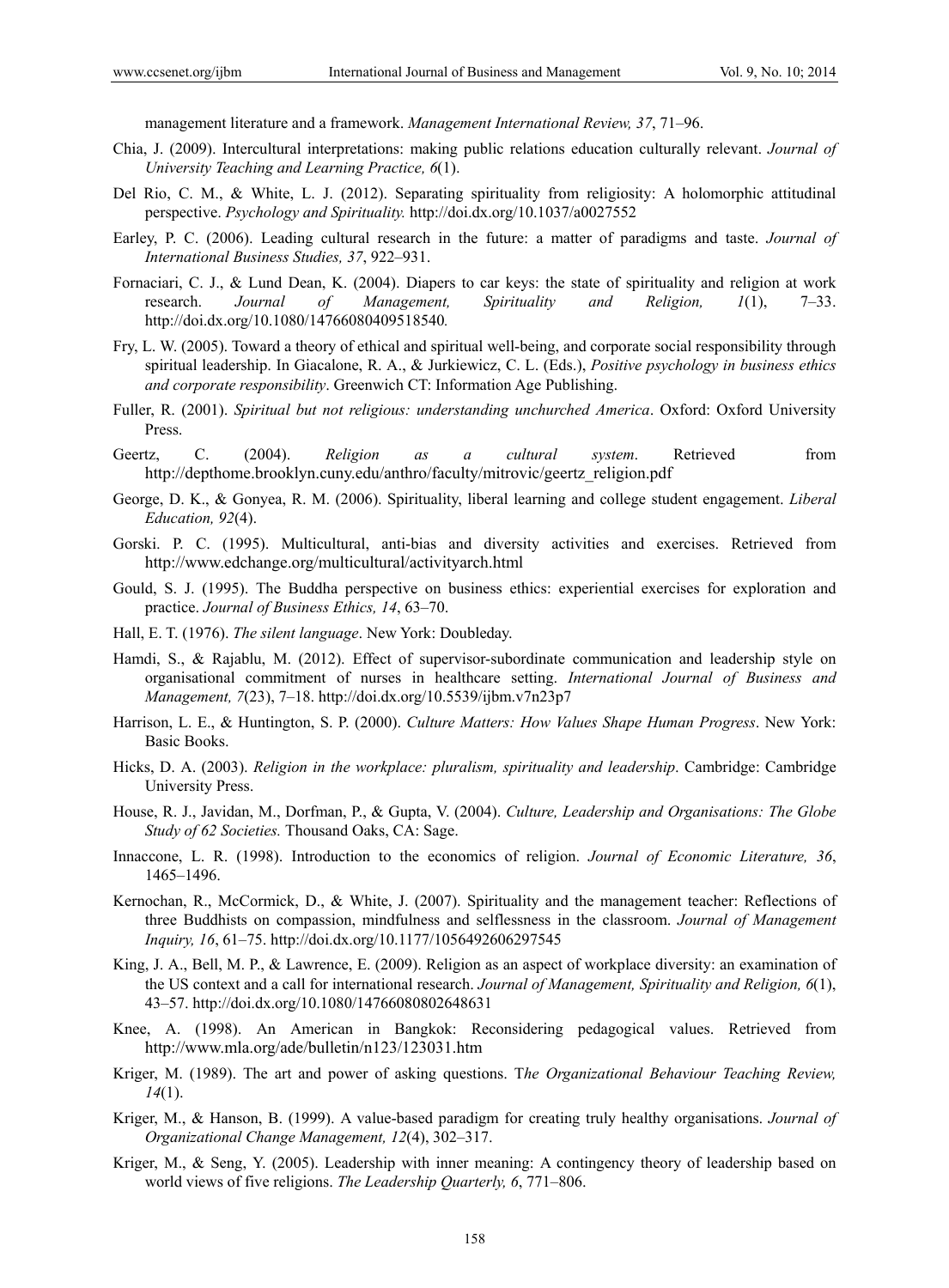management literature and a framework. *Management International Review, 37*, 71–96.

- Chia, J. (2009). Intercultural interpretations: making public relations education culturally relevant. *Journal of University Teaching and Learning Practice, 6*(1).
- Del Rio, C. M., & White, L. J. (2012). Separating spirituality from religiosity: A holomorphic attitudinal perspective. *Psychology and Spirituality.* http://doi.dx.org/10.1037/a0027552
- Earley, P. C. (2006). Leading cultural research in the future: a matter of paradigms and taste. *Journal of International Business Studies, 37*, 922–931.
- Fornaciari, C. J., & Lund Dean, K. (2004). Diapers to car keys: the state of spirituality and religion at work research. *Journal of Management, Spirituality and Religion, 1*(1), 7–33. http://doi.dx.org/10.1080/14766080409518540*.*
- Fry, L. W. (2005). Toward a theory of ethical and spiritual well-being, and corporate social responsibility through spiritual leadership. In Giacalone, R. A., & Jurkiewicz, C. L. (Eds.), *Positive psychology in business ethics and corporate responsibility*. Greenwich CT: Information Age Publishing.
- Fuller, R. (2001). *Spiritual but not religious: understanding unchurched America*. Oxford: Oxford University Press.
- Geertz, C. (2004). *Religion as a cultural system*. Retrieved from http://depthome.brooklyn.cuny.edu/anthro/faculty/mitrovic/geertz\_religion.pdf
- George, D. K., & Gonyea, R. M. (2006). Spirituality, liberal learning and college student engagement. *Liberal Education, 92*(4).
- Gorski. P. C. (1995). Multicultural, anti-bias and diversity activities and exercises. Retrieved from http://www.edchange.org/multicultural/activityarch.html
- Gould, S. J. (1995). The Buddha perspective on business ethics: experiential exercises for exploration and practice. *Journal of Business Ethics, 14*, 63–70.
- Hall, E. T. (1976). *The silent language*. New York: Doubleday.
- Hamdi, S., & Rajablu, M. (2012). Effect of supervisor-subordinate communication and leadership style on organisational commitment of nurses in healthcare setting. *International Journal of Business and Management, 7*(23), 7–18. http://doi.dx.org/10.5539/ijbm.v7n23p7
- Harrison, L. E., & Huntington, S. P. (2000). *Culture Matters: How Values Shape Human Progress*. New York: Basic Books.
- Hicks, D. A. (2003). *Religion in the workplace: pluralism, spirituality and leadership*. Cambridge: Cambridge University Press.
- House, R. J., Javidan, M., Dorfman, P., & Gupta, V. (2004). *Culture, Leadership and Organisations: The Globe Study of 62 Societies.* Thousand Oaks, CA: Sage.
- Innaccone, L. R. (1998). Introduction to the economics of religion. *Journal of Economic Literature, 36*, 1465–1496.
- Kernochan, R., McCormick, D., & White, J. (2007). Spirituality and the management teacher: Reflections of three Buddhists on compassion, mindfulness and selflessness in the classroom. *Journal of Management Inquiry, 16*, 61–75. http://doi.dx.org/10.1177/1056492606297545
- King, J. A., Bell, M. P., & Lawrence, E. (2009). Religion as an aspect of workplace diversity: an examination of the US context and a call for international research. *Journal of Management, Spirituality and Religion, 6*(1), 43–57. http://doi.dx.org/10.1080/14766080802648631
- Knee, A. (1998). An American in Bangkok: Reconsidering pedagogical values. Retrieved from http://www.mla.org/ade/bulletin/n123/123031.htm
- Kriger, M. (1989). The art and power of asking questions. T*he Organizational Behaviour Teaching Review, 14*(1).
- Kriger, M., & Hanson, B. (1999). A value-based paradigm for creating truly healthy organisations. *Journal of Organizational Change Management, 12*(4), 302–317.
- Kriger, M., & Seng, Y. (2005). Leadership with inner meaning: A contingency theory of leadership based on world views of five religions. *The Leadership Quarterly, 6*, 771–806.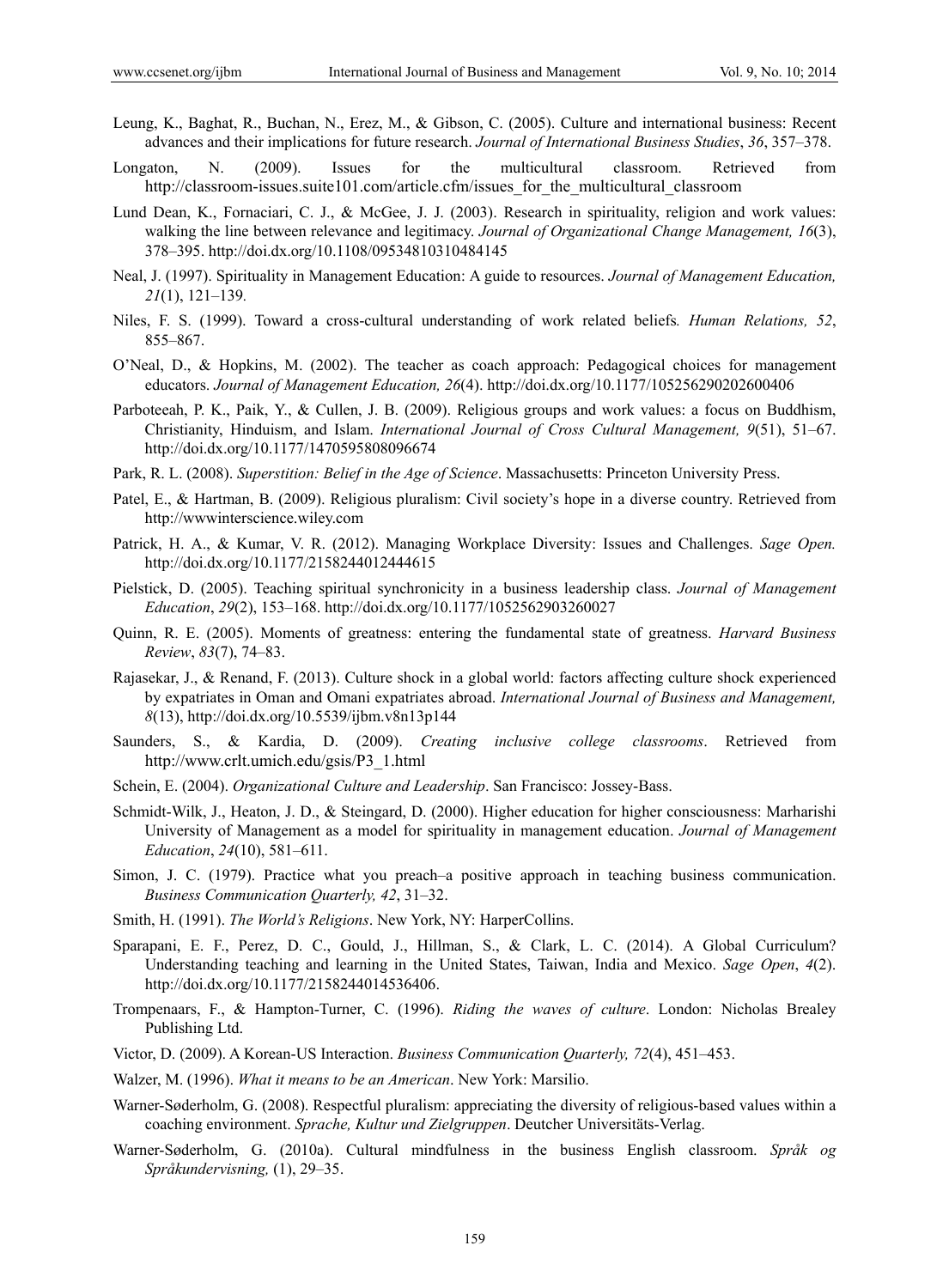- Leung, K., Baghat, R., Buchan, N., Erez, M., & Gibson, C. (2005). Culture and international business: Recent advances and their implications for future research. *Journal of International Business Studies*, *36*, 357–378.
- Longaton, N. (2009). Issues for the multicultural classroom. Retrieved from http://classroom-issues.suite101.com/article.cfm/issues\_for\_the\_multicultural\_classroom
- Lund Dean, K., Fornaciari, C. J., & McGee, J. J. (2003). Research in spirituality, religion and work values: walking the line between relevance and legitimacy. *Journal of Organizational Change Management, 16*(3), 378–395. http://doi.dx.org/10.1108/09534810310484145
- Neal, J. (1997). Spirituality in Management Education: A guide to resources. *Journal of Management Education, 21*(1), 121–139*.*
- Niles, F. S. (1999). Toward a cross-cultural understanding of work related beliefs*. Human Relations, 52*, 855–867.
- O'Neal, D., & Hopkins, M. (2002). The teacher as coach approach: Pedagogical choices for management educators. *Journal of Management Education, 26*(4). http://doi.dx.org/10.1177/105256290202600406
- Parboteeah, P. K., Paik, Y., & Cullen, J. B. (2009). Religious groups and work values: a focus on Buddhism, Christianity, Hinduism, and Islam. *International Journal of Cross Cultural Management, 9*(51), 51–67. http://doi.dx.org/10.1177/1470595808096674
- Park, R. L. (2008). *Superstition: Belief in the Age of Science*. Massachusetts: Princeton University Press.
- Patel, E., & Hartman, B. (2009). Religious pluralism: Civil society's hope in a diverse country. Retrieved from http://wwwinterscience.wiley.com
- Patrick, H. A., & Kumar, V. R. (2012). Managing Workplace Diversity: Issues and Challenges. *Sage Open.* http://doi.dx.org/10.1177/2158244012444615
- Pielstick, D. (2005). Teaching spiritual synchronicity in a business leadership class. *Journal of Management Education*, *29*(2), 153–168. http://doi.dx.org/10.1177/1052562903260027
- Quinn, R. E. (2005). Moments of greatness: entering the fundamental state of greatness. *Harvard Business Review*, *83*(7), 74–83.
- Rajasekar, J., & Renand, F. (2013). Culture shock in a global world: factors affecting culture shock experienced by expatriates in Oman and Omani expatriates abroad. *International Journal of Business and Management, 8*(13), http://doi.dx.org/10.5539/ijbm.v8n13p144
- Saunders, S., & Kardia, D. (2009). *Creating inclusive college classrooms*. Retrieved from http://www.crlt.umich.edu/gsis/P3\_1.html
- Schein, E. (2004). *Organizational Culture and Leadership*. San Francisco: Jossey-Bass.
- Schmidt-Wilk, J., Heaton, J. D., & Steingard, D. (2000). Higher education for higher consciousness: Marharishi University of Management as a model for spirituality in management education. *Journal of Management Education*, *24*(10), 581–611.
- Simon, J. C. (1979). Practice what you preach–a positive approach in teaching business communication. *Business Communication Quarterly, 42*, 31–32.
- Smith, H. (1991). *The World's Religions*. New York, NY: HarperCollins.
- Sparapani, E. F., Perez, D. C., Gould, J., Hillman, S., & Clark, L. C. (2014). A Global Curriculum? Understanding teaching and learning in the United States, Taiwan, India and Mexico. *Sage Open*, *4*(2). http://doi.dx.org/10.1177/2158244014536406.
- Trompenaars, F., & Hampton-Turner, C. (1996). *Riding the waves of culture*. London: Nicholas Brealey Publishing Ltd.
- Victor, D. (2009). A Korean-US Interaction. *Business Communication Quarterly, 72*(4), 451–453.
- Walzer, M. (1996). *What it means to be an American*. New York: Marsilio.
- Warner-Søderholm, G. (2008). Respectful pluralism: appreciating the diversity of religious-based values within a coaching environment. *Sprache, Kultur und Zielgruppen*. Deutcher Universitäts-Verlag.
- Warner-Søderholm, G. (2010a). Cultural mindfulness in the business English classroom. *Språk og Språkundervisning,* (1), 29–35.